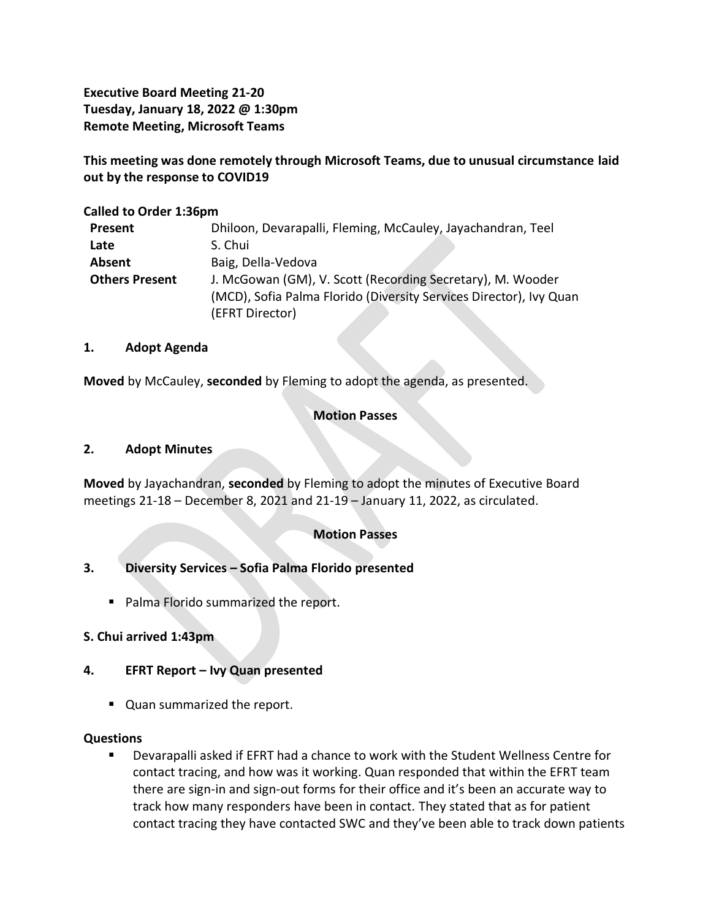**Executive Board Meeting 21-20 Tuesday, January 18, 2022 @ 1:30pm Remote Meeting, Microsoft Teams**

**This meeting was done remotely through Microsoft Teams, due to unusual circumstance laid out by the response to COVID19**

### **Called to Order 1:36pm**

| <b>Present</b>        | Dhiloon, Devarapalli, Fleming, McCauley, Jayachandran, Teel        |
|-----------------------|--------------------------------------------------------------------|
| Late                  | S. Chui                                                            |
| Absent                | Baig, Della-Vedova                                                 |
| <b>Others Present</b> | J. McGowan (GM), V. Scott (Recording Secretary), M. Wooder         |
|                       | (MCD), Sofia Palma Florido (Diversity Services Director), Ivy Quan |
|                       | (EFRT Director)                                                    |

#### **1. Adopt Agenda**

**Moved** by McCauley, **seconded** by Fleming to adopt the agenda, as presented.

# **Motion Passes**

#### **2. Adopt Minutes**

**Moved** by Jayachandran, **seconded** by Fleming to adopt the minutes of Executive Board meetings 21-18 – December 8, 2021 and 21-19 – January 11, 2022, as circulated.

#### **Motion Passes**

# **3. Diversity Services – Sofia Palma Florido presented**

■ Palma Florido summarized the report.

#### **S. Chui arrived 1:43pm**

#### **4. EFRT Report – Ivy Quan presented**

■ Quan summarized the report.

#### **Questions**

▪ Devarapalli asked if EFRT had a chance to work with the Student Wellness Centre for contact tracing, and how was it working. Quan responded that within the EFRT team there are sign-in and sign-out forms for their office and it's been an accurate way to track how many responders have been in contact. They stated that as for patient contact tracing they have contacted SWC and they've been able to track down patients